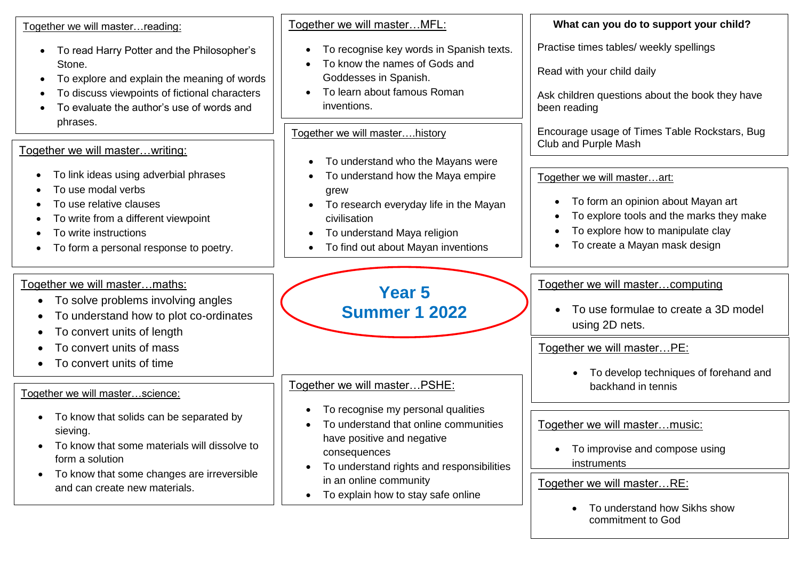| Together we will masterreading:                                                                                                                                                                                                              | Together we will masterMFL:                                                                                                                                                                                          | What can you do to support your child?                                                                                                                                                                        |
|----------------------------------------------------------------------------------------------------------------------------------------------------------------------------------------------------------------------------------------------|----------------------------------------------------------------------------------------------------------------------------------------------------------------------------------------------------------------------|---------------------------------------------------------------------------------------------------------------------------------------------------------------------------------------------------------------|
| To read Harry Potter and the Philosopher's<br>$\bullet$<br>Stone.<br>To explore and explain the meaning of words<br>$\bullet$<br>To discuss viewpoints of fictional characters<br>٠<br>To evaluate the author's use of words and<br>phrases. | To recognise key words in Spanish texts.<br>To know the names of Gods and<br>Goddesses in Spanish.<br>To learn about famous Roman<br>$\bullet$<br>inventions.                                                        | Practise times tables/ weekly spellings<br>Read with your child daily<br>Ask children questions about the book they have<br>been reading                                                                      |
| Together we will masterwriting:                                                                                                                                                                                                              | Together we will masterhistory<br>To understand who the Mayans were<br>$\bullet$                                                                                                                                     | Encourage usage of Times Table Rockstars, Bug<br>Club and Purple Mash                                                                                                                                         |
| To link ideas using adverbial phrases<br>To use modal verbs<br>To use relative clauses<br>To write from a different viewpoint<br>To write instructions<br>To form a personal response to poetry.                                             | To understand how the Maya empire<br>٠<br>grew<br>To research everyday life in the Mayan<br>$\bullet$<br>civilisation<br>To understand Maya religion<br>$\bullet$<br>To find out about Mayan inventions<br>$\bullet$ | Together we will masterart:<br>To form an opinion about Mayan art<br>$\bullet$<br>To explore tools and the marks they make<br>$\bullet$<br>To explore how to manipulate clay<br>To create a Mayan mask design |
| Together we will master maths:<br>To solve problems involving angles<br>To understand how to plot co-ordinates<br>To convert units of length                                                                                                 | <b>Year 5</b><br><b>Summer 1 2022</b>                                                                                                                                                                                | Together we will mastercomputing<br>To use formulae to create a 3D model<br>$\bullet$<br>using 2D nets.                                                                                                       |
| To convert units of mass<br>To convert units of time<br>Together we will masterscience:                                                                                                                                                      | Together we will masterPSHE:                                                                                                                                                                                         | Together we will masterPE:<br>To develop techniques of forehand and<br>backhand in tennis                                                                                                                     |
| To know that solids can be separated by<br>$\bullet$<br>sieving.<br>To know that some materials will dissolve to<br>form a solution<br>To know that some changes are irreversible                                                            | To recognise my personal qualities<br>To understand that online communities<br>have positive and negative<br>consequences<br>To understand rights and responsibilities<br>in an online community                     | Together we will mastermusic:<br>To improvise and compose using<br>$\bullet$<br>instruments<br>Together we will master $RF$                                                                                   |

• To explain how to stay safe online

and can create new materials.

## Together we will master…RE:

• To understand how Sikhs show commitment to God